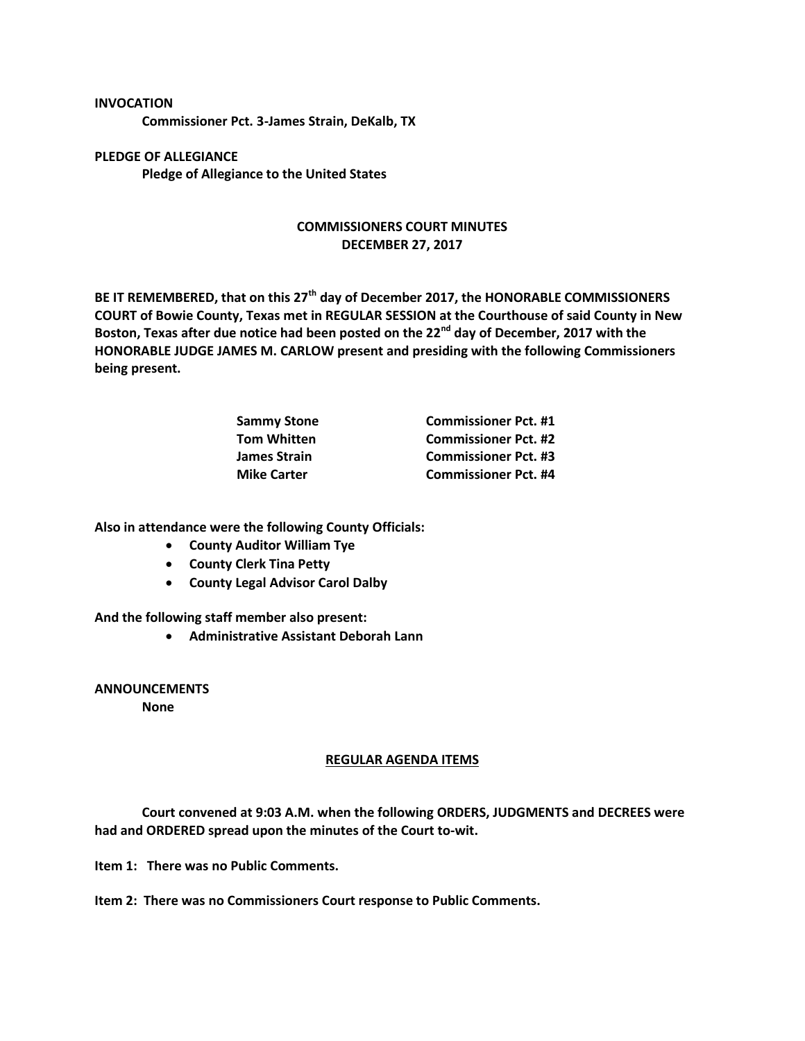## **INVOCATION**

**Commissioner Pct. 3-James Strain, DeKalb, TX**

**PLEDGE OF ALLEGIANCE Pledge of Allegiance to the United States**

## **COMMISSIONERS COURT MINUTES DECEMBER 27, 2017**

**BE IT REMEMBERED, that on this 27th day of December 2017, the HONORABLE COMMISSIONERS COURT of Bowie County, Texas met in REGULAR SESSION at the Courthouse of said County in New Boston, Texas after due notice had been posted on the 22nd day of December, 2017 with the HONORABLE JUDGE JAMES M. CARLOW present and presiding with the following Commissioners being present.**

| <b>Sammy Stone</b>  | <b>Commissioner Pct. #1</b> |
|---------------------|-----------------------------|
| <b>Tom Whitten</b>  | <b>Commissioner Pct. #2</b> |
| <b>James Strain</b> | <b>Commissioner Pct. #3</b> |
| <b>Mike Carter</b>  | <b>Commissioner Pct. #4</b> |

**Also in attendance were the following County Officials:**

- **County Auditor William Tye**
- **County Clerk Tina Petty**
- **County Legal Advisor Carol Dalby**

**And the following staff member also present:**

**Administrative Assistant Deborah Lann**

**ANNOUNCEMENTS**

**None**

## **REGULAR AGENDA ITEMS**

**Court convened at 9:03 A.M. when the following ORDERS, JUDGMENTS and DECREES were had and ORDERED spread upon the minutes of the Court to-wit.**

**Item 1: There was no Public Comments.**

**Item 2: There was no Commissioners Court response to Public Comments.**